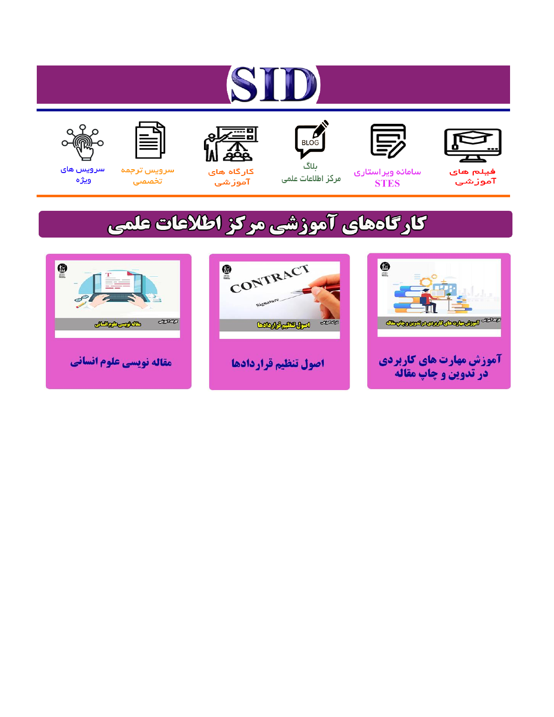# ST











ىلاگ



مرکز اطلاعات علمی

 $\frac{1}{\sqrt{\frac{1}{100}}}$ 

Cologie Legislation

کارگاه های آموزشي

空

ققق

 $\begin{matrix} \textcircled{\footnotesize{A}}\\ \textcircled{\footnotesize{B}} \end{matrix}$ 

سرويس ترجمه تخصصى



سرویس های ويژه

كارگاههای آموزشی مركز اطلاعات علمی

CONTRACT

اصول تنظيم قراردادها



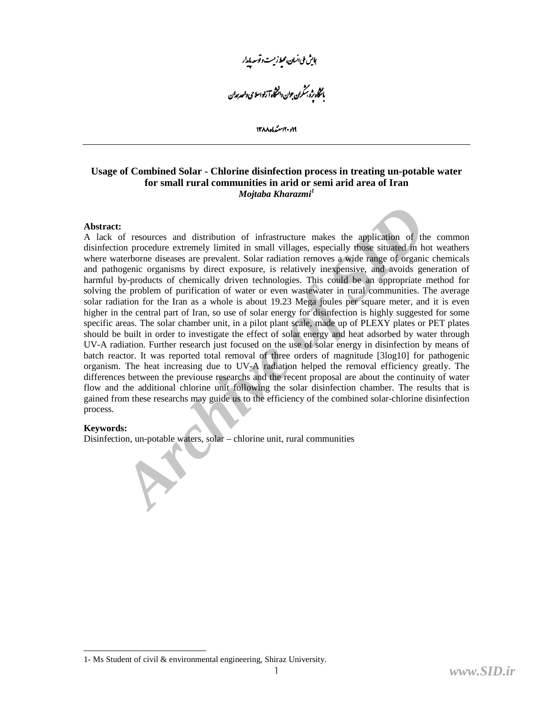ېاي<sup>ش ملى انسان، مح</sup>ط زيست د توسعه پايدار .<br>بانتخاه پژوبر شمران جوان دانشگاه آ زاد اسلامی واحد جدان<br>.

١٢ و ٢٠ استرياه ١٣٨٨

## **Usage of Combined Solar - Chlorine disinfection process in treating un-potable water for small rural communities in arid or semi arid area of Iran**  *Mojtaba Kharazmi<sup>1</sup>*

## **Abstract:**

**Altistants**<br> **Archive of resources** and distribution of infrastructure makes the application of the incorder extremely limited in small villages, especially those situated in haterborne diseases are prevalent. Solar radia A lack of resources and distribution of infrastructure makes the application of the common disinfection procedure extremely limited in small villages, especially those situated in hot weathers where waterborne diseases are prevalent. Solar radiation removes a wide range of organic chemicals and pathogenic organisms by direct exposure, is relatively inexpensive, and avoids generation of harmful by-products of chemically driven technologies. This could be an appropriate method for solving the problem of purification of water or even wastewater in rural communities. The average solar radiation for the Iran as a whole is about 19.23 Mega joules per square meter, and it is even higher in the central part of Iran, so use of solar energy for disinfection is highly suggested for some specific areas. The solar chamber unit, in a pilot plant scale, made up of PLEXY plates or PET plates should be built in order to investigate the effect of solar energy and heat adsorbed by water through UV-A radiation. Further research just focused on the use of solar energy in disinfection by means of batch reactor. It was reported total removal of three orders of magnitude [3log10] for pathogenic organism. The heat increasing due to UV-A radiation helped the removal efficiency greatly. The differences between the previouse researchs and the recent proposal are about the continuity of water flow and the additional chlorine unit following the solar disinfection chamber. The results that is gained from these researchs may guide us to the efficiency of the combined solar-chlorine disinfection process.

## **Keywords:**

Disinfection, un-potable waters, solar – chlorine unit, rural communities

<sup>1-</sup> Ms Student of civil & environmental engineering, Shiraz University.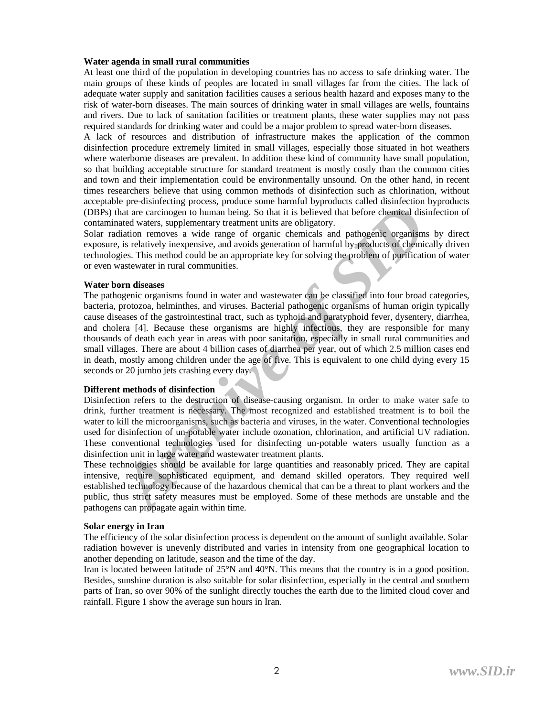## **Water agenda in small rural communities**

At least one third of the population in developing countries has no access to safe drinking water. The main groups of these kinds of peoples are located in small villages far from the cities. The lack of adequate water supply and sanitation facilities causes a serious health hazard and exposes many to the risk of water-born diseases. The main sources of drinking water in small villages are wells, fountains and rivers. Due to lack of sanitation facilities or treatment plants, these water supplies may not pass required standards for drinking water and could be a major problem to spread water-born diseases.

A lack of resources and distribution of infrastructure makes the application of the common disinfection procedure extremely limited in small villages, especially those situated in hot weathers where waterborne diseases are prevalent. In addition these kind of community have small population, so that building acceptable structure for standard treatment is mostly costly than the common cities and town and their implementation could be environmentally unsound. On the other hand, in recent times researchers believe that using common methods of disinfection such as chlorination, without acceptable pre-disinfecting process, produce some harmful byproducts called disinfection byproducts (DBPs) that are carcinogen to human being. So that it is believed that before chemical disinfection of contaminated waters, supplementary treatment units are obligatory.

Solar radiation removes a wide range of organic chemicals and pathogenic organisms by direct exposure, is relatively inexpensive, and avoids generation of harmful by-products of chemically driven technologies. This method could be an appropriate key for solving the problem of purification of water or even wastewater in rural communities.

#### **Water born diseases**

*F* are accrimingly boves any chosen and the solution and the search and the carcinogen to human being. So that it is believed that before chemical disitindive dues to suplementary teration tunist are obligatory.<br>
And are The pathogenic organisms found in water and wastewater can be classified into four broad categories, bacteria, protozoa, helminthes, and viruses. Bacterial pathogenic organisms of human origin typically cause diseases of the gastrointestinal tract, such as typhoid and paratyphoid fever, dysentery, diarrhea, and cholera [4]. Because these organisms are highly infectious, they are responsible for many thousands of death each year in areas with poor sanitation, especially in small rural communities and small villages. There are about 4 billion cases of diarrhea per year, out of which 2.5 million cases end in death, mostly among children under the age of five. This is equivalent to one child dying every 15 seconds or 20 jumbo jets crashing every day.

## **Different methods of disinfection**

Disinfection refers to the destruction of disease-causing organism. In order to make water safe to drink, further treatment is necessary. The most recognized and established treatment is to boil the water to kill the microorganisms, such as bacteria and viruses, in the water. Conventional technologies used for disinfection of un-potable water include ozonation, chlorination, and artificial UV radiation. These conventional technologies used for disinfecting un-potable waters usually function as a disinfection unit in large water and wastewater treatment plants.

These technologies should be available for large quantities and reasonably priced. They are capital intensive, require sophisticated equipment, and demand skilled operators. They required well established technology because of the hazardous chemical that can be a threat to plant workers and the public, thus strict safety measures must be employed. Some of these methods are unstable and the pathogens can propagate again within time.

## **Solar energy in Iran**

The efficiency of the solar disinfection process is dependent on the amount of sunlight available. Solar radiation however is unevenly distributed and varies in intensity from one geographical location to another depending on latitude, season and the time of the day.

Iran is located between latitude of 25°N and 40°N. This means that the country is in a good position. Besides, sunshine duration is also suitable for solar disinfection, especially in the central and southern parts of Iran, so over 90% of the sunlight directly touches the earth due to the limited cloud cover and rainfall. Figure 1 show the average sun hours in Iran.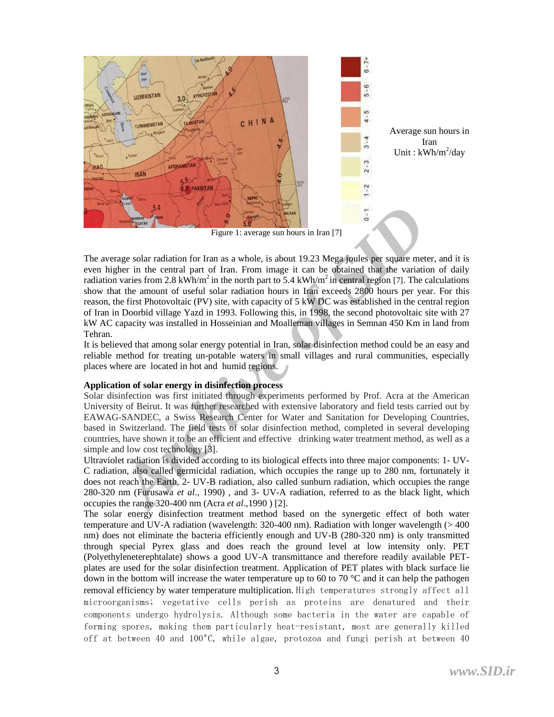

**Archives the Control of Transmit SID**<br> **Archives Control of Transmit SID**<br> **Archives Control of Transmit SID**<br> **Archives of SID**<br> **Archives of SID**<br> **Archives of SID**<br> **Archives of SID**<br> **Archives of SID**<br> **Archives of SI** The average solar radiation for Iran as a whole, is about 19.23 Mega joules per square meter, and it is even higher in the central part of Iran. From image it can be obtained that the variation of daily radiation varies from 2.8 kWh/m<sup>2</sup> in the north part to 5.4 kWh/m<sup>2</sup> in central region [7]. The calculations show that the amount of useful solar radiation hours in Iran exceeds 2800 hours per year. For this reason, the first Photovoltaic (PV) site, with capacity of 5 kW DC was established in the central region of Iran in Doorbid village Yazd in 1993. Following this, in 1998, the second photovoltaic site with 27 kW AC capacity was installed in Hosseinian and Moalleman villages in Semnan 450 Km in land from Tehran.

It is believed that among solar energy potential in Iran, solar disinfection method could be an easy and reliable method for treating un-potable waters in small villages and rural communities, especially places where are located in hot and humid regions.

# **Application of solar energy in disinfection process**

Solar disinfection was first initiated through experiments performed by Prof. Acra at the American University of Beirut. It was further researched with extensive laboratory and field tests carried out by EAWAG-SANDEC, a Swiss Research Center for Water and Sanitation for Developing Countries, based in Switzerland. The field tests of solar disinfection method, completed in several developing countries, have shown it to be an efficient and effective drinking water treatment method, as well as a simple and low cost technology [3].

Ultraviolet radiation is divided according to its biological effects into three major components: 1- UV-C radiation, also called germicidal radiation, which occupies the range up to 280 nm, fortunately it does not reach the Earth, 2- UV-B radiation, also called sunburn radiation, which occupies the range 280-320 nm (Furusawa *et al*., 1990) , and 3- UV-A radiation, referred to as the black light, which occupies the range 320-400 nm (Acra *et al*.,1990 ) [2].

The solar energy disinfection treatment method based on the synergetic effect of both water temperature and UV-A radiation (wavelength: 320-400 nm). Radiation with longer wavelength (> 400 nm) does not eliminate the bacteria efficiently enough and UV-B (280-320 nm) is only transmitted through special Pyrex glass and does reach the ground level at low intensity only. PET (Polyethyleneterephtalate) shows a good UV-A transmittance and therefore readily available PETplates are used for the solar disinfection treatment. Application of PET plates with black surface lie down in the bottom will increase the water temperature up to 60 to 70 °C and it can help the pathogen removal efficiency by water temperature multiplication. High temperatures strongly affect all microorganisms; vegetative cells perish as proteins are denatured and their components undergo hydrolysis. Although some bacteria in the water are capable of forming spores, making them particularly heat-resistant, most are generally killed off at between 40 and 100ºC, while algae, protozoa and fungi perish at between 40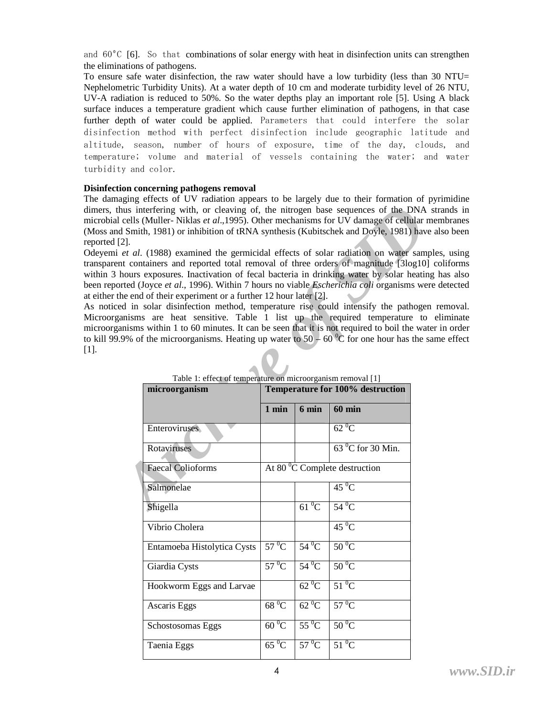and  $60^{\circ}$ C [6]. So that combinations of solar energy with heat in disinfection units can strengthen the eliminations of pathogens.

To ensure safe water disinfection, the raw water should have a low turbidity (less than 30 NTU= Nephelometric Turbidity Units). At a water depth of 10 cm and moderate turbidity level of 26 NTU, UV-A radiation is reduced to 50%. So the water depths play an important role [5]. Using A black surface induces a temperature gradient which cause further elimination of pathogens, in that case further depth of water could be applied. Parameters that could interfere the solar disinfection method with perfect disinfection include geographic latitude and altitude, season, number of hours of exposure, time of the day, clouds, and temperature; volume and material of vessels containing the water; and water turbidity and color.

## **Disinfection concerning pathogens removal**

The damaging effects of UV radiation appears to be largely due to their formation of pyrimidine dimers, thus interfering with, or cleaving of, the nitrogen base sequences of the DNA strands in microbial cells (Muller- Niklas *et al*.,1995). Other mechanisms for UV damage of cellular membranes (Moss and Smith, 1981) or inhibition of tRNA synthesis (Kubitschek and Doyle, 1981) have also been reported [2].

Odeyemi *et al*. (1988) examined the germicidal effects of solar radiation on water samples, using transparent containers and reported total removal of three orders of magnitude [3log10] coliforms within 3 hours exposures. Inactivation of fecal bacteria in drinking water by solar heating has also been reported (Joyce *et al*., 1996). Within 7 hours no viable *Escherichia coli* organisms were detected at either the end of their experiment or a further 12 hour later [2].

As noticed in solar disinfection method, temperature rise could intensify the pathogen removal. Microorganisms are heat sensitive. Table 1 list up the required temperature to eliminate microorganisms within 1 to 60 minutes. It can be seen that it is not required to boil the water in order to kill 99.9% of the microorganisms. Heating up water to  $50 - 60<sup>o</sup>C$  for one hour has the same effect [1].

| $[2].$ | thus interfering with, or cleaving of, the nitrogen base sequences of the DNA<br>1 cells (Muller- Niklas et al., 1995). Other mechanisms for UV damage of cellular<br>d Smith, 1981) or inhibition of tRNA synthesis (Kubitschek and Doyle, 1981) hav<br>et al. (1988) examined the germicidal effects of solar radiation on water sam<br>ent containers and reported total removal of three orders of magnitude [3log10]<br>hours exposures. Inactivation of fecal bacteria in drinking water by solar heatin<br>orted (Joyce et al., 1996). Within 7 hours no viable <i>Escherichia coli</i> organisms we<br>the end of their experiment or a further 12 hour later [2].<br>ed in solar disinfection method, temperature rise could intensify the pathoge<br>ganisms are heat sensitive. Table 1 list up the required temperature to<br>anisms within 1 to 60 minutes. It can be seen that it is not required to boil the wa<br>0.9% of the microorganisms. Heating up water to $50 - 60$ °C for one hour has the |              |                                           |                                  |  |
|--------|---------------------------------------------------------------------------------------------------------------------------------------------------------------------------------------------------------------------------------------------------------------------------------------------------------------------------------------------------------------------------------------------------------------------------------------------------------------------------------------------------------------------------------------------------------------------------------------------------------------------------------------------------------------------------------------------------------------------------------------------------------------------------------------------------------------------------------------------------------------------------------------------------------------------------------------------------------------------------------------------------------------------|--------------|-------------------------------------------|----------------------------------|--|
|        | Table 1: effect of temperature on microorganism removal [1]<br>microorganism                                                                                                                                                                                                                                                                                                                                                                                                                                                                                                                                                                                                                                                                                                                                                                                                                                                                                                                                        |              |                                           | Temperature for 100% destruction |  |
|        |                                                                                                                                                                                                                                                                                                                                                                                                                                                                                                                                                                                                                                                                                                                                                                                                                                                                                                                                                                                                                     |              |                                           |                                  |  |
|        |                                                                                                                                                                                                                                                                                                                                                                                                                                                                                                                                                                                                                                                                                                                                                                                                                                                                                                                                                                                                                     | $1$ min      | 6 min                                     | $60$ min                         |  |
|        | Enteroviruses                                                                                                                                                                                                                                                                                                                                                                                                                                                                                                                                                                                                                                                                                                                                                                                                                                                                                                                                                                                                       |              |                                           | $62\,^0C$                        |  |
|        | Rotaviruses                                                                                                                                                                                                                                                                                                                                                                                                                                                                                                                                                                                                                                                                                                                                                                                                                                                                                                                                                                                                         |              |                                           | $630C$ for 30 Min.               |  |
|        | <b>Faecal Colioforms</b>                                                                                                                                                                                                                                                                                                                                                                                                                                                                                                                                                                                                                                                                                                                                                                                                                                                                                                                                                                                            |              | At 80 $\mathrm{^0C}$ Complete destruction |                                  |  |
|        | Salmonelae                                                                                                                                                                                                                                                                                                                                                                                                                                                                                                                                                                                                                                                                                                                                                                                                                                                                                                                                                                                                          |              |                                           | $45\,^0$ C                       |  |
|        | Shigella                                                                                                                                                                                                                                                                                                                                                                                                                                                                                                                                                                                                                                                                                                                                                                                                                                                                                                                                                                                                            |              | $61\text{ °C}$                            | $54\,^0$ C                       |  |
|        | Vibrio Cholera                                                                                                                                                                                                                                                                                                                                                                                                                                                                                                                                                                                                                                                                                                                                                                                                                                                                                                                                                                                                      |              |                                           | $45\,^0$ C                       |  |
|        | Entamoeba Histolytica Cysts                                                                                                                                                                                                                                                                                                                                                                                                                                                                                                                                                                                                                                                                                                                                                                                                                                                                                                                                                                                         | $57^{\,0}$ C | $54\,^0$ C                                | $50^{\circ}$ C                   |  |
|        | Giardia Cysts                                                                                                                                                                                                                                                                                                                                                                                                                                                                                                                                                                                                                                                                                                                                                                                                                                                                                                                                                                                                       | $57^{\,0}$ C | $54\,^0$ C                                | $50^{\circ}$ C                   |  |
|        | Hookworm Eggs and Larvae                                                                                                                                                                                                                                                                                                                                                                                                                                                                                                                                                                                                                                                                                                                                                                                                                                                                                                                                                                                            |              | $62\,^0C$                                 | $51\text{ °C}$                   |  |
|        | Ascaris Eggs                                                                                                                                                                                                                                                                                                                                                                                                                                                                                                                                                                                                                                                                                                                                                                                                                                                                                                                                                                                                        | $68\,^0C$    | $62\,^0C$                                 | $57^{\,0}$ C                     |  |
|        | Schostosomas Eggs                                                                                                                                                                                                                                                                                                                                                                                                                                                                                                                                                                                                                                                                                                                                                                                                                                                                                                                                                                                                   | $60\,^0C$    | $55\,^0$ C                                | $50^{\circ}$ C                   |  |
|        | Taenia Eggs                                                                                                                                                                                                                                                                                                                                                                                                                                                                                                                                                                                                                                                                                                                                                                                                                                                                                                                                                                                                         | $65\,^0C$    | $57^{\circ}$ C                            | $51^{\circ}$ C                   |  |
|        |                                                                                                                                                                                                                                                                                                                                                                                                                                                                                                                                                                                                                                                                                                                                                                                                                                                                                                                                                                                                                     |              |                                           |                                  |  |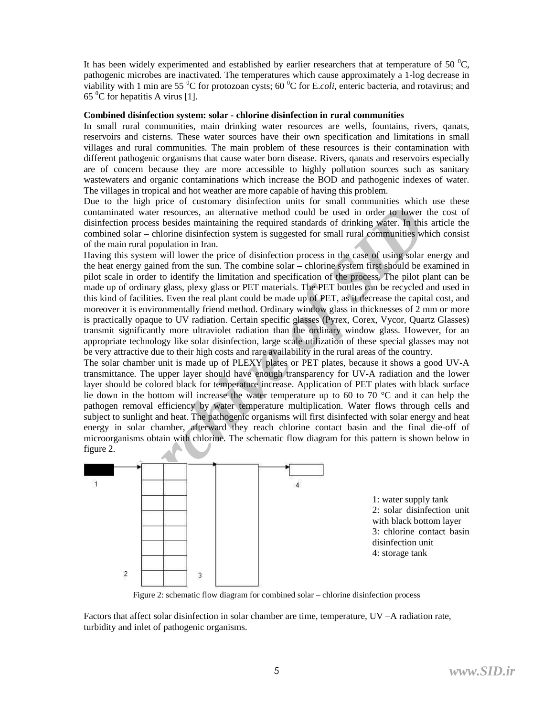It has been widely experimented and established by earlier researchers that at temperature of 50  $^{\circ}$ C, pathogenic microbes are inactivated. The temperatures which cause approximately a 1-log decrease in viability with 1 min are 55 <sup>0</sup>C for protozoan cysts; 60 <sup>0</sup>C for E.*coli*, enteric bacteria, and rotavirus; and  $65<sup>0</sup>C$  for hepatitis A virus [1].

## **Combined disinfection system: solar - chlorine disinfection in rural communities**

In small rural communities, main drinking water resources are wells, fountains, rivers, qanats, reservoirs and cisterns. These water sources have their own specification and limitations in small villages and rural communities. The main problem of these resources is their contamination with different pathogenic organisms that cause water born disease. Rivers, qanats and reservoirs especially are of concern because they are more accessible to highly pollution sources such as sanitary wastewaters and organic contaminations which increase the BOD and pathogenic indexes of water. The villages in tropical and hot weather are more capable of having this problem.

Due to the high price of customary disinfection units for small communities which use these contaminated water resources, an alternative method could be used in order to lower the cost of disinfection process besides maintaining the required standards of drinking water. In this article the combined solar – chlorine disinfection system is suggested for small rural communities which consist of the main rural population in Iran.

*Archive Sindsder* mail that may have the solution of the mail of the mail of the solution process beids maintaining the required standards of drinking water. In this signal doment process beids maintaining the required st Having this system will lower the price of disinfection process in the case of using solar energy and the heat energy gained from the sun. The combine solar – chlorine system first should be examined in pilot scale in order to identify the limitation and specification of the process. The pilot plant can be made up of ordinary glass, plexy glass or PET materials. The PET bottles can be recycled and used in this kind of facilities. Even the real plant could be made up of PET, as it decrease the capital cost, and moreover it is environmentally friend method. Ordinary window glass in thicknesses of 2 mm or more is practically opaque to UV radiation. Certain specific glasses (Pyrex, Corex, Vycor, Quartz Glasses) transmit significantly more ultraviolet radiation than the ordinary window glass. However, for an appropriate technology like solar disinfection, large scale utilization of these special glasses may not be very attractive due to their high costs and rare availability in the rural areas of the country.

The solar chamber unit is made up of PLEXY plates or PET plates, because it shows a good UV-A transmittance. The upper layer should have enough transparency for UV-A radiation and the lower layer should be colored black for temperature increase. Application of PET plates with black surface lie down in the bottom will increase the water temperature up to 60 to 70 °C and it can help the pathogen removal efficiency by water temperature multiplication. Water flows through cells and subject to sunlight and heat. The pathogenic organisms will first disinfected with solar energy and heat energy in solar chamber, afterward they reach chlorine contact basin and the final die-off of microorganisms obtain with chlorine. The schematic flow diagram for this pattern is shown below in figure 2.



Figure 2: schematic flow diagram for combined solar – chlorine disinfection process

Factors that affect solar disinfection in solar chamber are time, temperature, UV –A radiation rate, turbidity and inlet of pathogenic organisms.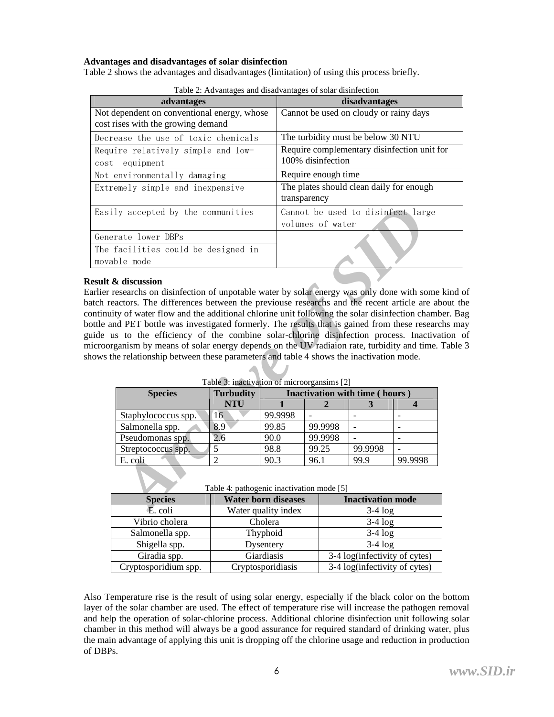## **Advantages and disadvantages of solar disinfection**

Table 2 shows the advantages and disadvantages (limitation) of using this process briefly.

| advantages                                                                        | disadvantages                                                    |
|-----------------------------------------------------------------------------------|------------------------------------------------------------------|
| Not dependent on conventional energy, whose<br>cost rises with the growing demand | Cannot be used on cloudy or rainy days                           |
| Decrease the use of toxic chemicals                                               | The turbidity must be below 30 NTU                               |
| Require relatively simple and low-<br>equipment<br>cost                           | Require complementary disinfection unit for<br>100% disinfection |
| Not environmentally damaging                                                      | Require enough time                                              |
| Extremely simple and inexpensive                                                  | The plates should clean daily for enough<br>transparency         |
| Easily accepted by the communities                                                | Cannot be used to disinfect large<br>volumes of water            |
| Generate lower DBPs                                                               |                                                                  |
| The facilities could be designed in<br>movable mode                               |                                                                  |

Table 2: Advantages and disadvantages of solar disinfection

## **Result & discussion**

Earlier researchs on disinfection of unpotable water by solar energy was only done with some kind of batch reactors. The differences between the previouse researchs and the recent article are about the continuity of water flow and the additional chlorine unit following the solar disinfection chamber. Bag bottle and PET bottle was investigated formerly. The results that is gained from these researchs may guide us to the efficiency of the combine solar-chlorine disinfection process. Inactivation of microorganism by means of solar energy depends on the UV radiaion rate, turbidity and time. Table 3 shows the relationship between these parameters and table 4 shows the inactivation mode.

|                 | ly accepted by the communities                                                                                                                                                                                                                                                                                                                                                                                                                                                                                                                                                                                                                                                                |                                                    |                            |                  | Cannot be used to disinfect large |         |   |
|-----------------|-----------------------------------------------------------------------------------------------------------------------------------------------------------------------------------------------------------------------------------------------------------------------------------------------------------------------------------------------------------------------------------------------------------------------------------------------------------------------------------------------------------------------------------------------------------------------------------------------------------------------------------------------------------------------------------------------|----------------------------------------------------|----------------------------|------------------|-----------------------------------|---------|---|
|                 |                                                                                                                                                                                                                                                                                                                                                                                                                                                                                                                                                                                                                                                                                               |                                                    |                            | volumes of water |                                   |         |   |
| rate lower DBPs |                                                                                                                                                                                                                                                                                                                                                                                                                                                                                                                                                                                                                                                                                               |                                                    |                            |                  |                                   |         |   |
|                 | facilities could be designed in                                                                                                                                                                                                                                                                                                                                                                                                                                                                                                                                                                                                                                                               |                                                    |                            |                  |                                   |         |   |
|                 | ble mode                                                                                                                                                                                                                                                                                                                                                                                                                                                                                                                                                                                                                                                                                      |                                                    |                            |                  |                                   |         |   |
|                 | & discussion<br>esearchs on disinfection of unpotable water by solar energy was only done with som<br>actors. The differences between the previouse researchs and the recent article are a<br>ty of water flow and the additional chlorine unit following the solar disinfection chan<br>nd PET bottle was investigated formerly. The results that is gained from these resea<br>is to the efficiency of the combine solar-chlorine disinfection process. Inactive<br>ganism by means of solar energy depends on the UV radiaion rate, turbidity and time<br>ne relationship between these parameters and table 4 shows the inactivation mode.<br>Table 3: inactivation of microorgansims [2] |                                                    |                            |                  |                                   |         |   |
|                 | <b>Species</b>                                                                                                                                                                                                                                                                                                                                                                                                                                                                                                                                                                                                                                                                                | Inactivation with time (hours)<br><b>Turbudity</b> |                            |                  |                                   |         |   |
|                 |                                                                                                                                                                                                                                                                                                                                                                                                                                                                                                                                                                                                                                                                                               | <b>NTU</b>                                         |                            | $\mathbf{2}$     | 3                                 |         | 4 |
|                 | Staphylococcus spp.                                                                                                                                                                                                                                                                                                                                                                                                                                                                                                                                                                                                                                                                           | 16                                                 | 99.9998                    |                  |                                   |         |   |
|                 | Salmonella spp.                                                                                                                                                                                                                                                                                                                                                                                                                                                                                                                                                                                                                                                                               | 8.9                                                | 99.85                      | 99.9998          |                                   |         |   |
|                 | Pseudomonas spp.                                                                                                                                                                                                                                                                                                                                                                                                                                                                                                                                                                                                                                                                              | 2.6                                                | 90.0                       | 99.9998          |                                   |         |   |
|                 | Streptococcus spp.                                                                                                                                                                                                                                                                                                                                                                                                                                                                                                                                                                                                                                                                            | 5                                                  | 98.8                       | 99.25            | 99.9998                           |         |   |
|                 | E. coli                                                                                                                                                                                                                                                                                                                                                                                                                                                                                                                                                                                                                                                                                       | $\overline{2}$                                     | 90.3                       | 96.1             | 99.9                              | 99.9998 |   |
|                 | Table 4: pathogenic inactivation mode [5]                                                                                                                                                                                                                                                                                                                                                                                                                                                                                                                                                                                                                                                     |                                                    |                            |                  |                                   |         |   |
|                 | <b>Species</b>                                                                                                                                                                                                                                                                                                                                                                                                                                                                                                                                                                                                                                                                                |                                                    | <b>Water born diseases</b> |                  | <b>Inactivation</b> mode          |         |   |
|                 | E. coli                                                                                                                                                                                                                                                                                                                                                                                                                                                                                                                                                                                                                                                                                       |                                                    | Water quality index        |                  | $3-4 \log$                        |         |   |

Table 3: inactivation of microorgansims [2]

|  | Table 4: pathogenic inactivation mode [5] |  |
|--|-------------------------------------------|--|
|  |                                           |  |

| <b>Species</b>       | <b>Water born diseases</b> | <b>Inactivation mode</b>      |
|----------------------|----------------------------|-------------------------------|
| E. coli              | Water quality index        | $3-4 \log$                    |
| Vibrio cholera       | Cholera                    | $3-4 \log$                    |
| Salmonella spp.      | Thyphoid                   | $3-4 \log$                    |
| Shigella spp.        | Dysentery                  | $3-4 \log$                    |
| Giradia spp.         | Giardiasis                 | 3-4 log(infectivity of cytes) |
| Cryptosporidium spp. | Cryptosporidiasis          | 3-4 log(infectivity of cytes) |

Also Temperature rise is the result of using solar energy, especially if the black color on the bottom layer of the solar chamber are used. The effect of temperature rise will increase the pathogen removal and help the operation of solar-chlorine process. Additional chlorine disinfection unit following solar chamber in this method will always be a good assurance for required standard of drinking water, plus the main advantage of applying this unit is dropping off the chlorine usage and reduction in production of DBPs.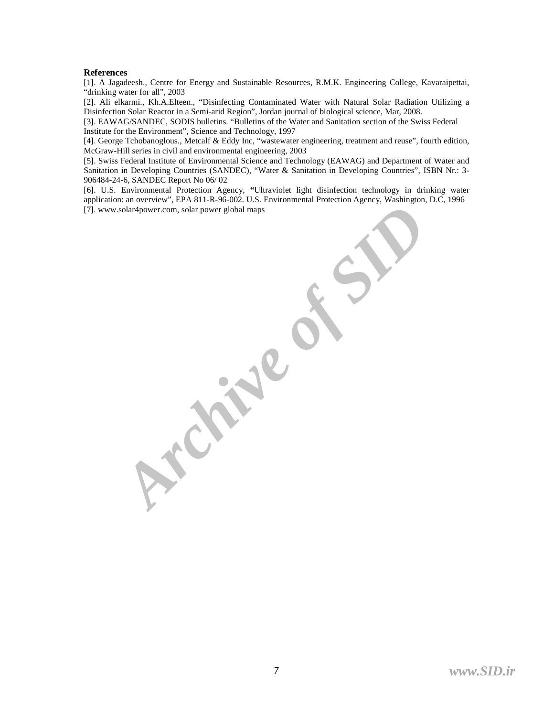## **References**

[1]. A Jagadeesh., Centre for Energy and Sustainable Resources, R.M.K. Engineering College, Kavaraipettai, "drinking water for all", 2003

[2]. Ali elkarmi., Kh.A.Elteen., "Disinfecting Contaminated Water with Natural Solar Radiation Utilizing a Disinfection Solar Reactor in a Semi-arid Region", Jordan journal of biological science, Mar, 2008.

[3]. EAWAG/SANDEC, SODIS bulletins. "Bulletins of the Water and Sanitation section of the Swiss Federal Institute for the Environment", Science and Technology, 1997

[4]. George Tchobanoglous., Metcalf & Eddy Inc, "wastewater engineering, treatment and reuse", fourth edition, McGraw-Hill series in civil and environmental engineering, 2003

[5]. Swiss Federal Institute of Environmental Science and Technology (EAWAG) and Department of Water and Sanitation in Developing Countries (SANDEC), "Water & Sanitation in Developing Countries", ISBN Nr.: 3- 906484-24-6, SANDEC Report No 06/ 02

[6]. U.S. Environmental Protection Agency, **"**Ultraviolet light disinfection technology in drinking water application: an overview", EPA 811-R-96-002. U.S. Environmental Protection Agency, Washington, D.C, 1996 [7]. www.solar4power.com, solar power global maps

**Archive of SID**